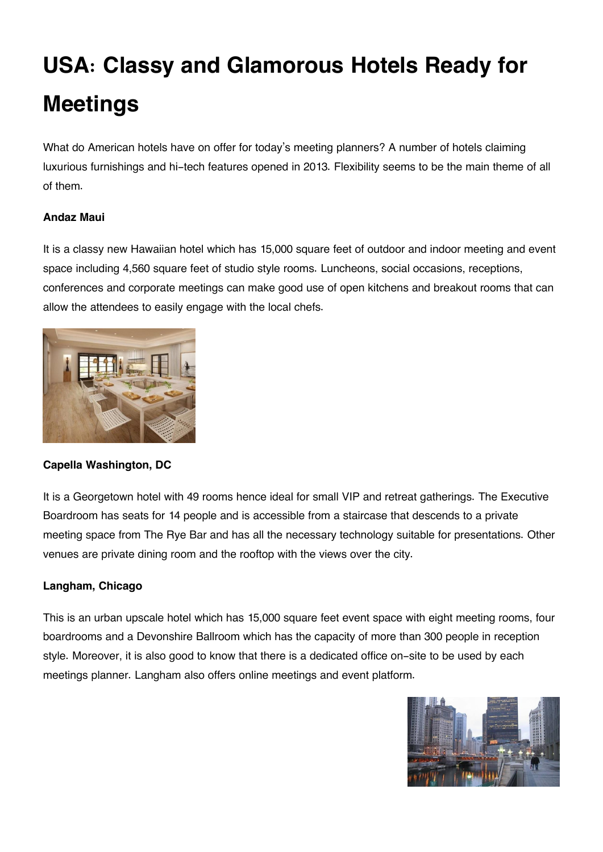# **USA: Classy and Glamorous Hotels Ready for Meetings**

What do American hotels have on offer for today's meeting planners? A number of hotels claiming luxurious furnishings and hi-tech features opened in 2013. Flexibility seems to be the main theme of all of them.

## **Andaz Maui**

It is a classy new Hawaiian hotel which has 15,000 square feet of outdoor and indoor meeting and event space including 4,560 square feet of studio style rooms. Luncheons, social occasions, receptions, conferences and corporate meetings can make good use of open kitchens and breakout rooms that can allow the attendees to easily engage with the local chefs.



## **Capella Washington, DC**

It is a Georgetown hotel with 49 rooms hence ideal for small VIP and retreat gatherings. The Executive Boardroom has seats for 14 people and is accessible from a staircase that descends to a private meeting space from The Rye Bar and has all the necessary technology suitable for presentations. Other venues are private dining room and the rooftop with the views over the city.

## **Langham, Chicago**

This is an urban upscale hotel which has 15,000 square feet event space with eight meeting rooms, four boardrooms and a Devonshire Ballroom which has the capacity of more than 300 people in reception style. Moreover, it is also good to know that there is a dedicated office on-site to be used by each meetings planner. Langham also offers online meetings and event platform.